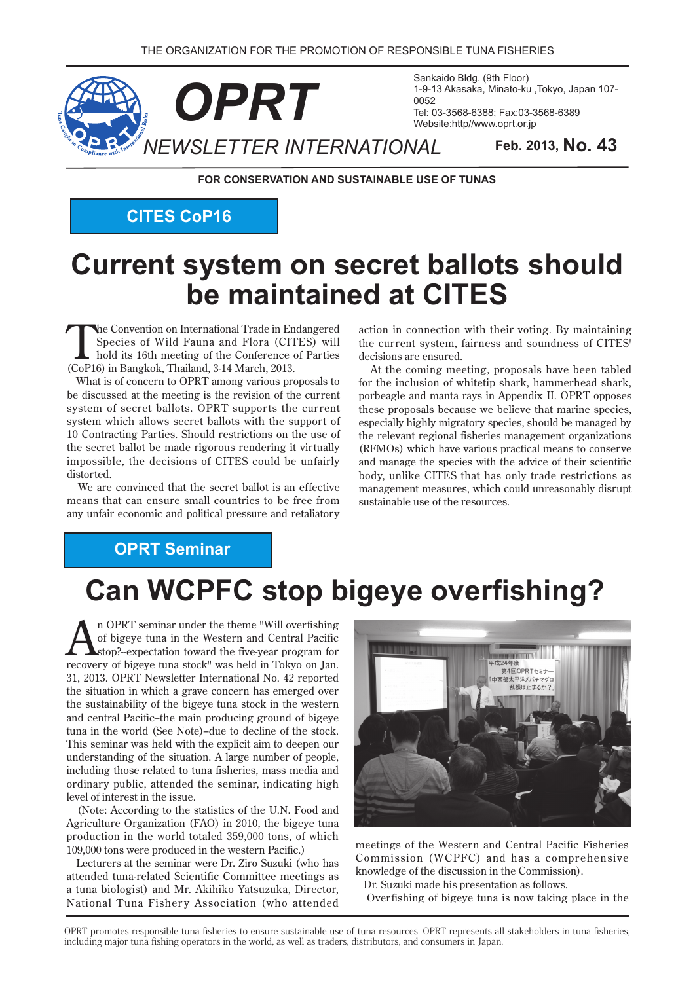

Sankaido Bldg. (9th Floor) 1-9-13 Akasaka, Minato-ku, Tokyo, Japan 107-0052 Tel: 03-3568-6388; Fax: 03-3568-6389 Website:http//www.oprt.or.jp

**FOR CONSERVATION AND SUSTAINABLE USE OF TUNAS** 

**CITES CoP16** 

# **Current system on secret ballots should be maintained at CITES**

The Convention on International Trade in Endangered<br>
Species of Wild Fauna and Flora (CITES) will<br>
hold its 16th meeting of the Conference of Parties<br>
(CoP16) is Bonglash Theiland 2.14 Marsh 2012 Species of Wild Fauna and Flora (CITES) will  $(CoP16)$  in Bangkok, Thailand, 3-14 March, 2013.

What is of concern to OPRT among various proposals to be discussed at the meeting is the revision of the current system of secret ballots. OPRT supports the current system which allows secret ballots with the support of 10 Contracting Parties. Should restrictions on the use of the secret ballot be made rigorous rendering it virtually impossible, the decisions of CITES could be unfairly .distorted

We are convinced that the secret ballot is an effective means that can ensure small countries to be free from any unfair economic and political pressure and retaliatory

action in connection with their voting. By maintaining the current system, fairness and soundness of CITES' decisions are ensured.

At the coming meeting, proposals have been tabled for the inclusion of whitetip shark, hammerhead shark, porbeagle and manta rays in Appendix II. OPRT opposes these proposals because we believe that marine species. especially highly migratory species, should be managed by the relevant regional fisheries management organizations (RFMOs) which have various practical means to conserve and manage the species with the advice of their scientific body, unlike CITES that has only trade restrictions as management measures, which could unreasonably disrupt sustainable use of the resources.

# **OPRT** Seminar

# **Can WCPFC stop bigeye overfishing?**

**overfishing**<br>
of bigeye tuna in the Western and Central Pacific<br>
stop?-expectation toward the five-year program for<br> **receiver** this the toward the toward in Televe on Inn of bigeye tuna in the Western and Central Pacific recovery of bigeye tuna stock" was held in Tokyo on Jan. 31, 2013. OPRT Newsletter International No. 42 reported the situation in which a grave concern has emerged over the sustainability of the bigeye tuna stock in the western and central Pacific--the main producing ground of bigeye tuna in the world (See Note)-due to decline of the stock. This seminar was held with the explicit aim to deepen our understanding of the situation. A large number of people, including those related to tuna fisheries, mass media and ordinary public, attended the seminar, indicating high level of interest in the issue.

(Note: According to the statistics of the U.N. Food and Agriculture Organization (FAO) in 2010, the bigeye tuna production in the world totaled 359,000 tons, of which 109,000 tons were produced in the western Pacific.)

Lecturers at the seminar were Dr. Ziro Suzuki (who has attended tuna-related Scientific Committee meetings as a tuna biologist) and Mr. Akihiko Yatsuzuka, Director, National Tuna Fishery Association (who attended



meetings of the Western and Central Pacific Fisheries Commission (WCPFC) and has a comprehensive knowledge of the discussion in the Commission).

Dr. Suzuki made his presentation as follows.

Overfishing of bigeye tuna is now taking place in the

OPRT promotes responsible tuna fisheries to ensure sustainable use of tuna resources. OPRT represents all stakeholders in tuna fisheries, including major tuna fishing operators in the world, as well as traders, distributors, and consumers in Japan.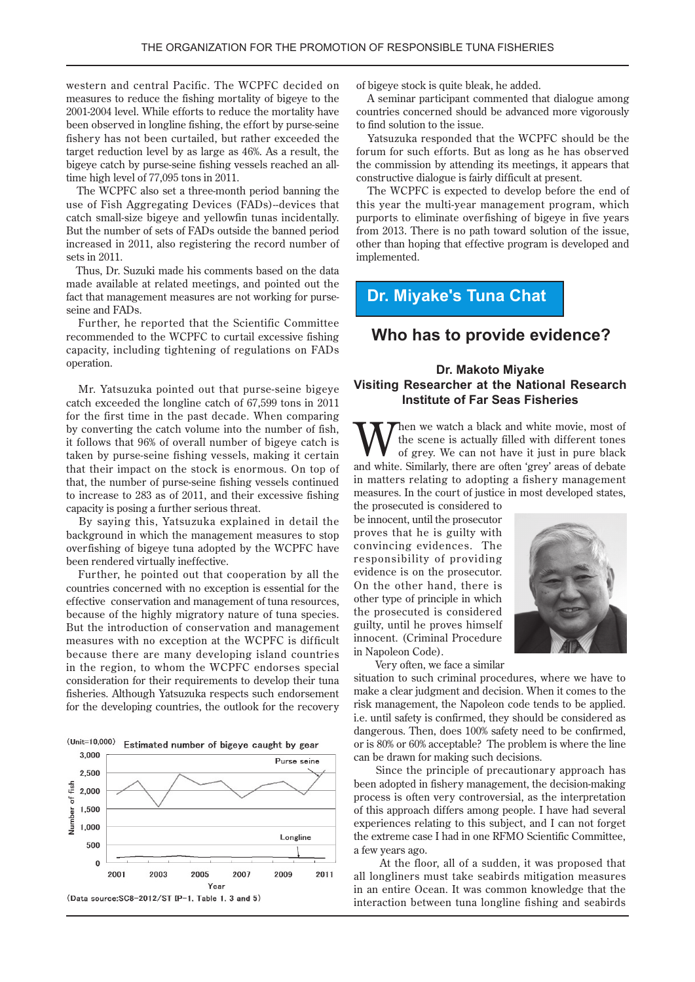western and central Pacific. The WCPFC decided on measures to reduce the fishing mortality of bigeye to the 2001-2004 level. While efforts to reduce the mortality have been observed in longline fishing, the effort by purse-seine fishery has not been curtailed, but rather exceeded the target reduction level by as large as 46%. As a result, the bigeye catch by purse-seine fishing vessels reached an all-<br>time high level of 77,095 tons in 2011.

The WCPFC also set a three-month period banning the use of Fish Aggregating Devices (FADs)--devices that catch small-size bigeye and yellowfin tunas incidentally. But the number of sets of FADs outside the banned period increased in 2011, also registering the record number of sets in  $2011$ .

Thus, Dr. Suzuki made his comments based on the data made available at related meetings, and pointed out the fact that management measures are not working for purse-<br>seine and FADs.

Further, he reported that the Scientific Committee recommended to the WCPFC to curtail excessive fishing capacity, including tightening of regulations on FADs .operation

Mr. Yatsuzuka pointed out that purse-seine bigeye catch exceeded the longline catch of  $67,599$  tons in  $2011$ for the first time in the past decade. When comparing by converting the catch volume into the number of fish. it follows that 96% of overall number of bigeye catch is taken by purse-seine fishing vessels, making it certain that their impact on the stock is enormous. On top of that, the number of purse-seine fishing vessels continued to increase to 283 as of 2011, and their excessive fishing capacity is posing a further serious threat.

By saying this, Yatsuzuka explained in detail the background in which the management measures to stop overfishing of bigeye tuna adopted by the WCPFC have been rendered virtually ineffective.

Further, he pointed out that cooperation by all the countries concerned with no exception is essential for the effective conservation and management of tuna resources, because of the highly migratory nature of tuna species. But the introduction of conservation and management measures with no exception at the WCPFC is difficult because there are many developing island countries in the region, to whom the WCPFC endorses special consideration for their requirements to develop their tuna fisheries. Although Yatsuzuka respects such endorsement for the developing countries, the outlook for the recovery



of bigeye stock is quite bleak, he added.

A seminar participant commented that dialogue among countries concerned should be advanced more vigorously to find solution to the issue.

Yatsuzuka responded that the WCPFC should be the forum for such efforts. But as long as he has observed the commission by attending its meetings, it appears that constructive dialogue is fairly difficult at present.

The WCPFC is expected to develop before the end of this year the multi-year management program, which purports to eliminate overfishing of bigeye in five years from 2013. There is no path toward solution of the issue, other than hoping that effective program is developed and .implemented

#### **Dr. Miyake's Tuna Chat**

#### **Who has to provide evidence?**

#### **Dr. Makoto Miyake Visiting Researcher at the National Research Institute of Far Seas Fisheries**

**W** the scene is actually filled with different tones<br>of grey. We can not have it just in pure black<br>and white Similarly there are aften 'great' areas of debate the scene is actually filled with different tones of grey. We can not have it just in pure black and white. Similarly, there are often 'grey' areas of debate in matters relating to adopting a fishery management measures. In the court of justice in most developed states,

the prosecuted is considered to be innocent, until the prosecutor proves that he is guilty with convincing evidences. The responsibility of providing evidence is on the prosecutor. On the other hand, there is other type of principle in which the prosecuted is considered guilty, until he proves himself innocent. (Criminal Procedure in Napoleon Code).

Very often, we face a similar

situation to such criminal procedures, where we have to make a clear judgment and decision. When it comes to the risk management, the Napoleon code tends to be applied. i.e. until safety is confirmed, they should be considered as dangerous. Then, does 100% safety need to be confirmed, or is  $80\%$  or 60% acceptable? The problem is where the line can be drawn for making such decisions.

Since the principle of precautionary approach has been adopted in fishery management, the decision-making process is often very controversial, as the interpretation of this approach differs among people. I have had several experiences relating to this subject, and I can not forget the extreme case I had in one RFMO Scientific Committee. a few years ago.

At the floor, all of a sudden, it was proposed that all longliners must take seabirds mitigation measures in an entire Ocean. It was common knowledge that the interaction between tuna longline fishing and seabirds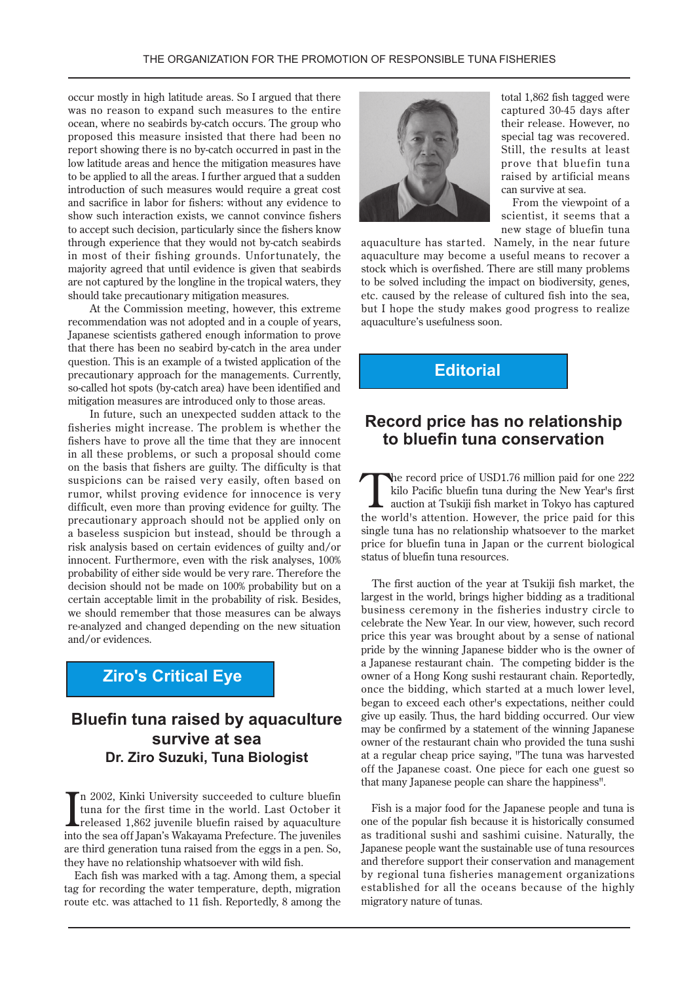occur mostly in high latitude areas. So I argued that there was no reason to expand such measures to the entire ocean, where no seabirds by-catch occurs. The group who proposed this measure insisted that there had been no report showing there is no by-catch occurred in past in the low latitude areas and hence the mitigation measures have to be applied to all the areas. I further argued that a sudden introduction of such measures would require a great cost and sacrifice in labor for fishers: without any evidence to show such interaction exists, we cannot convince fishers to accept such decision, particularly since the fishers know through experience that they would not by-catch seabirds in most of their fishing grounds. Unfortunately, the majority agreed that until evidence is given that seabirds are not captured by the longline in the tropical waters, they should take precautionary mitigation measures.

At the Commission meeting, however, this extreme recommendation was not adopted and in a couple of years, Japanese scientists gathered enough information to prove that there has been no seabird by-catch in the area under question. This is an example of a twisted application of the precautionary approach for the managements. Currently, so-called hot spots (by-catch area) have been identified and mitigation measures are introduced only to those areas.

In future, such an unexpected sudden attack to the fisheries might increase. The problem is whether the fishers have to prove all the time that they are innocent in all these problems, or such a proposal should come on the basis that fishers are guilty. The difficulty is that suspicions can be raised very easily, often based on rumor, whilst proving evidence for innocence is very difficult, even more than proving evidence for guilty. The precautionary approach should not be applied only on a baseless suspicion but instead, should be through a risk analysis based on certain evidences of guilty and/or innocent. Furthermore, even with the risk analyses, 100% probability of either side would be very rare. Therefore the decision should not be made on 100% probability but on a certain acceptable limit in the probability of risk. Besides, we should remember that those measures can be always re-analyzed and changed depending on the new situation and/or evidences.

### **Ziro's Critical Eye**

## **Bluefin tuna raised by aquaculture survive at sea Dr. Ziro Suzuki, Tuna Biologist**

 $\prod_{\text{rule} \text{1}}$  and  $\prod_{\text{rule} \text{1}}$  and  $\prod_{\text{rule} \text{1}}$  and  $\prod_{\text{rule} \text{1}}$  and  $\prod_{\text{rule} \text{1}}$  and  $\prod_{\text{rule} \text{1}}$  and  $\prod_{\text{rule} \text{1}}$  and  $\prod_{\text{rule} \text{1}}$  and  $\prod_{\text{rule} \text{1}}$  and  $\prod_{\text{rule} \text{1}}$  and  $\prod_{\text{rule} \text{1}}$  and In 2002, Kinki University succeeded to culture bluefin tuna for the first time in the world. Last October it into the sea off Japan's Wakayama Prefecture. The juveniles are third generation tuna raised from the eggs in a pen. So, they have no relationship whatsoever with wild fish.

Each fish was marked with a tag. Among them, a special tag for recording the water temperature, depth, migration route etc. was attached to 11 fish. Reportedly, 8 among the



total 1,862 fish tagged were captured 30-45 days after their release. However, no special tag was recovered. Still, the results at least prove that bluefin tuna raised by artificial means can survive at sea.

From the viewpoint of a scientist, it seems that a new stage of bluefin tuna

aquaculture has started. Namely, in the near future a quaculture may become a useful means to recover a stock which is overfished. There are still many problems to be solved including the impact on biodiversity, genes, etc. caused by the release of cultured fish into the sea, but I hope the study makes good progress to realize aquaculture's usefulness soon.

### **Editorial**

#### **Record price has no relationship to bluefin tuna conservation**

The record price of USD1.76 million paid for one 222<br>kilo Pacific bluefin tuna during the New Year's first<br>auction at Tsukiji fish market in Tokyo has captured<br>the worldle attention. However, the price paid for this kilo Pacific bluefin tuna during the New Year's first auction at Tsukiji fish market in Tokyo has captured the world's attention. However, the price paid for this single tuna has no relationship whatsoever to the market price for bluefin tuna in Japan or the current biological status of bluefin tuna resources.

The first auction of the year at Tsukiji fish market, the largest in the world, brings higher bidding as a traditional business ceremony in the fisheries industry circle to celebrate the New Year. In our view, however, such record price this year was brought about by a sense of national pride by the winning Japanese bidder who is the owner of a Japanese restaurant chain. The competing bidder is the owner of a Hong Kong sushi restaurant chain. Reportedly, once the bidding, which started at a much lower level, began to exceed each other's expectations, neither could give up easily. Thus, the hard bidding occurred. Our view may be confirmed by a statement of the winning Japanese owner of the restaurant chain who provided the tuna sushi at a regular cheap price saying, "The tuna was harvested off the Japanese coast. One piece for each one guest so that many Japanese people can share the happiness".

Fish is a major food for the Japanese people and tuna is one of the popular fish because it is historically consumed as traditional sushi and sashimi cuisine. Naturally, the Japanese people want the sustainable use of tuna resources and therefore support their conservation and management by regional tuna fisheries management organizations established for all the oceans because of the highly migratory nature of tunas.